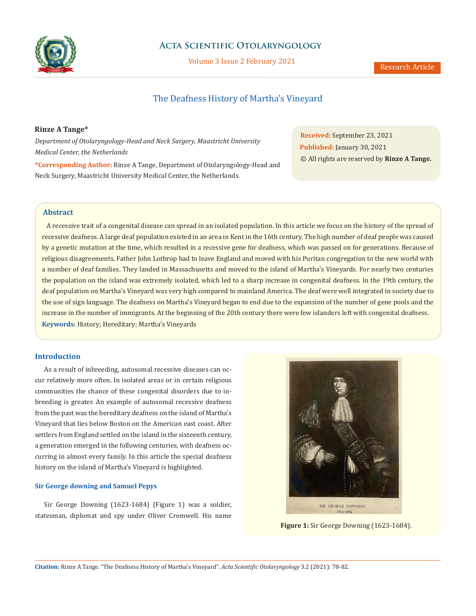

## **Acta Scientific Otolaryngology**

Volume 3 Issue 2 February 2021

# The Deafness History of Martha's Vineyard

## **Rinze A Tange\***

*Department of Otolaryngology-Head and Neck Surgery, Maastricht University Medical Center, the Netherlands*

**Received:** September 23, 2021 **Published:** January 30, 2021 © All rights are reserved by **Rinze A Tange.**

**\*Corresponding Author:** Rinze A Tange, Department of Otolaryngology-Head and Neck Surgery, Maastricht University Medical Center, the Netherlands.

## **Abstract**

 A recessive trait of a congenital disease can spread in an isolated population. In this article we focus on the history of the spread of recessive deafness. A large deaf population existed in an area in Kent in the 16th century. The high number of deaf people was caused by a genetic mutation at the time, which resulted in a recessive gene for deafness, which was passed on for generations. Because of religious disagreements, Father John Lothrop had to leave England and moved with his Puritan congregation to the new world with a number of deaf families. They landed in Massachusetts and moved to the island of Martha's Vineyards. For nearly two centuries the population on the island was extremely isolated, which led to a sharp increase in congenital deafness. In the 19th century, the deaf population on Martha's Vineyard was very high compared to mainland America. The deaf were well integrated in society due to the use of sign language. The deafness on Martha's Vineyard began to end due to the expansion of the number of gene pools and the increase in the number of immigrants. At the beginning of the 20th century there were few islanders left with congenital deafness. **Keywords:** History; Hereditary; Martha's Vineyards

## **Introduction**

As a result of inbreeding, autosomal recessive diseases can occur relatively more often. In isolated areas or in certain religious communities the chance of these congenital disorders due to inbreeding is greater. An example of autosomal recessive deafness from the past was the hereditary deafness on the island of Martha's Vineyard that lies below Boston on the American east coast. After settlers from England settled on the island in the sixteenth century, a generation emerged in the following centuries, with deafness occurring in almost every family. In this article the special deafness history on the island of Martha's Vineyard is highlighted.

### **Sir George downing and Samuel Pepys**

Sir George Downing (1623-1684) (Figure 1) was a soldier, statesman, diplomat and spy under Oliver Cromwell. His name



**Figure 1:** Sir George Downing (1623-1684).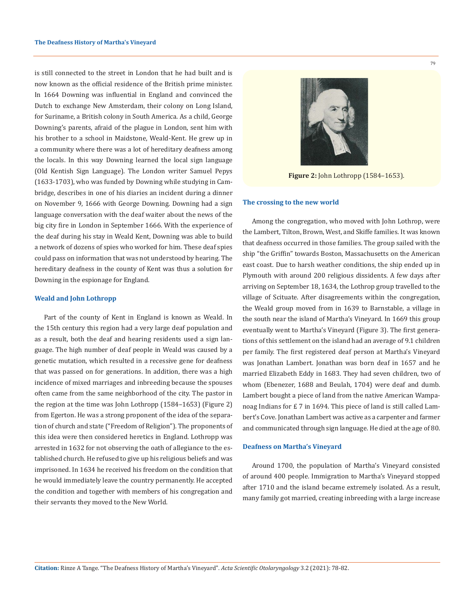is still connected to the street in London that he had built and is now known as the official residence of the British prime minister. In 1664 Downing was influential in England and convinced the Dutch to exchange New Amsterdam, their colony on Long Island, for Suriname, a British colony in South America. As a child, George Downing's parents, afraid of the plague in London, sent him with his brother to a school in Maidstone, Weald-Kent. He grew up in a community where there was a lot of hereditary deafness among the locals. In this way Downing learned the local sign language (Old Kentish Sign Language). The London writer Samuel Pepys (1633-1703), who was funded by Downing while studying in Cambridge, describes in one of his diaries an incident during a dinner on November 9, 1666 with George Downing. Downing had a sign language conversation with the deaf waiter about the news of the big city fire in London in September 1666. With the experience of the deaf during his stay in Weald Kent, Downing was able to build a network of dozens of spies who worked for him. These deaf spies could pass on information that was not understood by hearing. The hereditary deafness in the county of Kent was thus a solution for Downing in the espionage for England.

#### **Weald and John Lothropp**

Part of the county of Kent in England is known as Weald. In the 15th century this region had a very large deaf population and as a result, both the deaf and hearing residents used a sign language. The high number of deaf people in Weald was caused by a genetic mutation, which resulted in a recessive gene for deafness that was passed on for generations. In addition, there was a high incidence of mixed marriages and inbreeding because the spouses often came from the same neighborhood of the city. The pastor in the region at the time was John Lothropp (1584–1653) (Figure 2) from Egerton. He was a strong proponent of the idea of the separation of church and state ("Freedom of Religion"). The proponents of this idea were then considered heretics in England. Lothropp was arrested in 1632 for not observing the oath of allegiance to the established church. He refused to give up his religious beliefs and was imprisoned. In 1634 he received his freedom on the condition that he would immediately leave the country permanently. He accepted the condition and together with members of his congregation and their servants they moved to the New World.



**Figure 2:** John Lothropp (1584–1653).

### **The crossing to the new world**

Among the congregation, who moved with John Lothrop, were the Lambert, Tilton, Brown, West, and Skiffe families. It was known that deafness occurred in those families. The group sailed with the ship "the Griffin" towards Boston, Massachusetts on the American east coast. Due to harsh weather conditions, the ship ended up in Plymouth with around 200 religious dissidents. A few days after arriving on September 18, 1634, the Lothrop group travelled to the village of Scituate. After disagreements within the congregation, the Weald group moved from in 1639 to Barnstable, a village in the south near the island of Martha's Vineyard. In 1669 this group eventually went to Martha's Vineyard (Figure 3). The first generations of this settlement on the island had an average of 9.1 children per family. The first registered deaf person at Martha's Vineyard was Jonathan Lambert. Jonathan was born deaf in 1657 and he married Elizabeth Eddy in 1683. They had seven children, two of whom (Ebenezer, 1688 and Beulah, 1704) were deaf and dumb. Lambert bought a piece of land from the native American Wampanoag Indians for £ 7 in 1694. This piece of land is still called Lambert's Cove. Jonathan Lambert was active as a carpenter and farmer and communicated through sign language. He died at the age of 80.

## **Deafness on Martha's Vineyard**

Around 1700, the population of Martha's Vineyard consisted of around 400 people. Immigration to Martha's Vineyard stopped after 1710 and the island became extremely isolated. As a result, many family got married, creating inbreeding with a large increase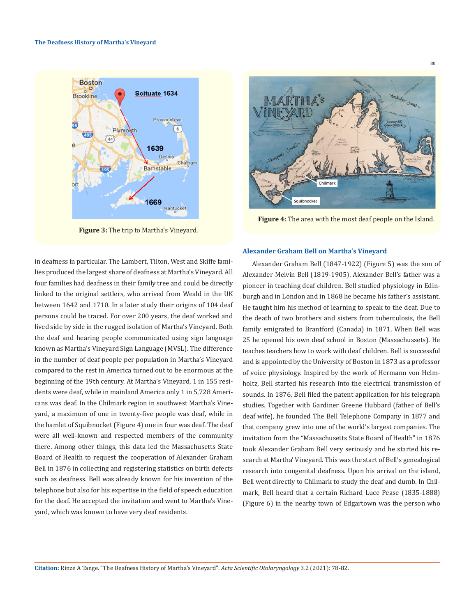

**Figure 3:** The trip to Martha's Vineyard.

in deafness in particular. The Lambert, Tilton, West and Skiffe families produced the largest share of deafness at Martha's Vineyard. All four families had deafness in their family tree and could be directly linked to the original settlers, who arrived from Weald in the UK between 1642 and 1710. In a later study their origins of 104 deaf persons could be traced. For over 200 years, the deaf worked and lived side by side in the rugged isolation of Martha's Vineyard. Both the deaf and hearing people communicated using sign language known as Martha's Vineyard Sign Language (MVSL). The difference in the number of deaf people per population in Martha's Vineyard compared to the rest in America turned out to be enormous at the beginning of the 19th century. At Martha's Vineyard, 1 in 155 residents were deaf, while in mainland America only 1 in 5,728 Americans was deaf. In the Chilmark region in southwest Martha's Vineyard, a maximum of one in twenty-five people was deaf, while in the hamlet of Squibnocket (Figure 4) one in four was deaf. The deaf were all well-known and respected members of the community there. Among other things, this data led the Massachusetts State Board of Health to request the cooperation of Alexander Graham Bell in 1876 in collecting and registering statistics on birth defects such as deafness. Bell was already known for his invention of the telephone but also for his expertise in the field of speech education for the deaf. He accepted the invitation and went to Martha's Vineyard, which was known to have very deaf residents.



**Figure 4:** The area with the most deaf people on the Island.

### **Alexander Graham Bell on Martha's Vineyard**

Alexander Graham Bell (1847-1922) (Figure 5) was the son of Alexander Melvin Bell (1819-1905). Alexander Bell's father was a pioneer in teaching deaf children. Bell studied physiology in Edinburgh and in London and in 1868 he became his father's assistant. He taught him his method of learning to speak to the deaf. Due to the death of two brothers and sisters from tuberculosis, the Bell family emigrated to Brantford (Canada) in 1871. When Bell was 25 he opened his own deaf school in Boston (Massachussets). He teaches teachers how to work with deaf children. Bell is successful and is appointed by the University of Boston in 1873 as a professor of voice physiology. Inspired by the work of Hermann von Helmholtz, Bell started his research into the electrical transmission of sounds. In 1876, Bell filed the patent application for his telegraph studies. Together with Gardiner Greene Hubbard (father of Bell's deaf wife), he founded The Bell Telephone Company in 1877 and that company grew into one of the world's largest companies. The invitation from the "Massachusetts State Board of Health" in 1876 took Alexander Graham Bell very seriously and he started his research at Martha' Vineyard. This was the start of Bell's genealogical research into congenital deafness. Upon his arrival on the island, Bell went directly to Chilmark to study the deaf and dumb. In Chilmark, Bell heard that a certain Richard Luce Pease (1835-1888) (Figure 6) in the nearby town of Edgartown was the person who

80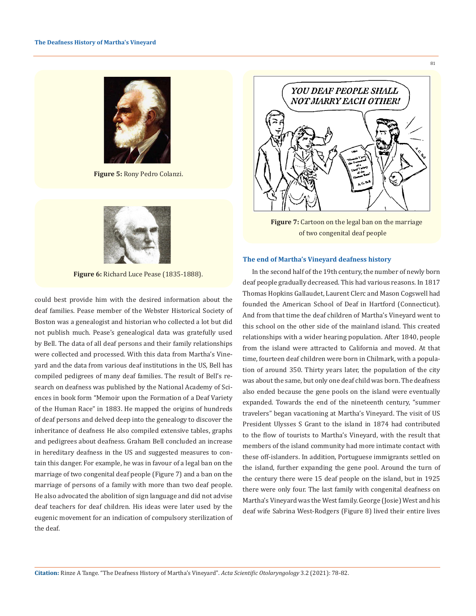

**Figure 5:** Rony Pedro Colanzi.



**Figure 6:** Richard Luce Pease (1835-1888).

could best provide him with the desired information about the deaf families. Pease member of the Webster Historical Society of Boston was a genealogist and historian who collected a lot but did not publish much. Pease's genealogical data was gratefully used by Bell. The data of all deaf persons and their family relationships were collected and processed. With this data from Martha's Vineyard and the data from various deaf institutions in the US, Bell has compiled pedigrees of many deaf families. The result of Bell's research on deafness was published by the National Academy of Sciences in book form "Memoir upon the Formation of a Deaf Variety of the Human Race" in 1883. He mapped the origins of hundreds of deaf persons and delved deep into the genealogy to discover the inheritance of deafness He also compiled extensive tables, graphs and pedigrees about deafness. Graham Bell concluded an increase in hereditary deafness in the US and suggested measures to contain this danger. For example, he was in favour of a legal ban on the marriage of two congenital deaf people (Figure 7) and a ban on the marriage of persons of a family with more than two deaf people. He also advocated the abolition of sign language and did not advise deaf teachers for deaf children. His ideas were later used by the eugenic movement for an indication of compulsory sterilization of the deaf.



81

**Figure 7:** Cartoon on the legal ban on the marriage of two congenital deaf people

## **The end of Martha's Vineyard deafness history**

In the second half of the 19th century, the number of newly born deaf people gradually decreased. This had various reasons. In 1817 Thomas Hopkins Gallaudet, Laurent Clerc and Mason Cogswell had founded the American School of Deaf in Hartford (Connecticut). And from that time the deaf children of Martha's Vineyard went to this school on the other side of the mainland island. This created relationships with a wider hearing population. After 1840, people from the island were attracted to California and moved. At that time, fourteen deaf children were born in Chilmark, with a population of around 350. Thirty years later, the population of the city was about the same, but only one deaf child was born. The deafness also ended because the gene pools on the island were eventually expanded. Towards the end of the nineteenth century, "summer travelers" began vacationing at Martha's Vineyard. The visit of US President Ulysses S Grant to the island in 1874 had contributed to the flow of tourists to Martha's Vineyard, with the result that members of the island community had more intimate contact with these off-islanders. In addition, Portuguese immigrants settled on the island, further expanding the gene pool. Around the turn of the century there were 15 deaf people on the island, but in 1925 there were only four. The last family with congenital deafness on Martha's Vineyard was the West family. George (Josie) West and his deaf wife Sabrina West-Rodgers (Figure 8) lived their entire lives